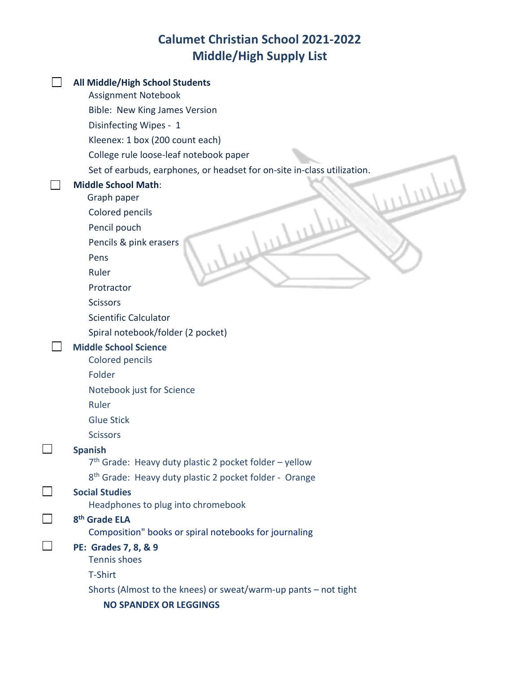## **Calumet Christian School 2021-2022 Middle/High Supply List**